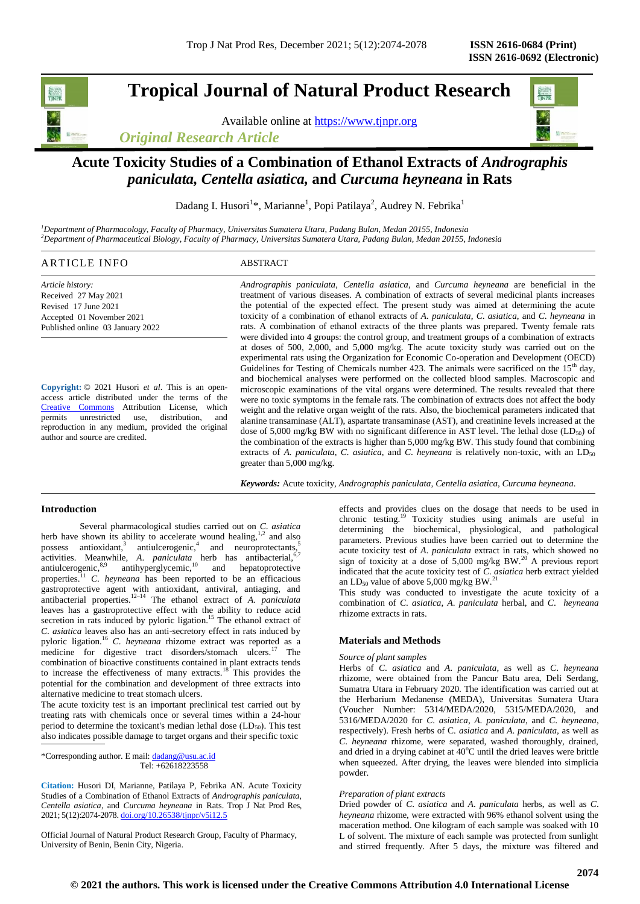# **Tropical Journal of Natural Product Research**

Available online at [https://www.tjnpr.org](https://www.tjnpr.org/)





## **Acute Toxicity Studies of a Combination of Ethanol Extracts of** *Andrographis paniculata, Centella asiatica,* **and** *Curcuma heyneana* **in Rats**

Dadang I. Husori<sup>1</sup>\*, Marianne<sup>1</sup>, Popi Patilaya<sup>2</sup>, Audrey N. Febrika<sup>1</sup>

*<sup>1</sup>Department of Pharmacology, Faculty of Pharmacy, Universitas Sumatera Utara, Padang Bulan, Medan 20155, Indonesia <sup>2</sup>Department of Pharmaceutical Biology, Faculty of Pharmacy, Universitas Sumatera Utara, Padang Bulan, Medan 20155, Indonesia*

| $\Delta$ R<br>N<br>ь.<br>71 I V<br>the contract of the contract of the contract of the contract of the contract of the contract of the contract of | $\sim$<br>the contract of the contract of the contract of the contract of the contract of the contract of the contract of |
|----------------------------------------------------------------------------------------------------------------------------------------------------|---------------------------------------------------------------------------------------------------------------------------|
|                                                                                                                                                    |                                                                                                                           |

*Article history:* Received 27 May 2021 Revised 17 June 2021 Accepted 01 November 2021 Published online 03 January 2022

**Copyright:** © 2021 Husori *et al*. This is an openaccess article distributed under the terms of the [Creative Commons](https://creativecommons.org/licenses/by/4.0/) Attribution License, which permits unrestricted use, distribution, and reproduction in any medium, provided the original author and source are credited.

*Andrographis paniculata*, *Centella asiatica*, and *Curcuma heyneana* are beneficial in the treatment of various diseases. A combination of extracts of several medicinal plants increases the potential of the expected effect. The present study was aimed at determining the acute toxicity of a combination of ethanol extracts of *A*. *paniculata*, *C*. *asiatica*, and *C*. *heyneana* in rats. A combination of ethanol extracts of the three plants was prepared. Twenty female rats were divided into 4 groups: the control group, and treatment groups of a combination of extracts at doses of 500, 2,000, and 5,000 mg/kg. The acute toxicity study was carried out on the experimental rats using the Organization for Economic Co-operation and Development (OECD) Guidelines for Testing of Chemicals number 423. The animals were sacrificed on the  $15<sup>th</sup>$  day, and biochemical analyses were performed on the collected blood samples. Macroscopic and microscopic examinations of the vital organs were determined. The results revealed that there were no toxic symptoms in the female rats. The combination of extracts does not affect the body weight and the relative organ weight of the rats. Also, the biochemical parameters indicated that alanine transaminase (ALT), aspartate transaminase (AST), and creatinine levels increased at the dose of 5,000 mg/kg BW with no significant difference in AST level. The lethal dose  $(LD_{50})$  of the combination of the extracts is higher than 5,000 mg/kg BW. This study found that combining extracts of *A. paniculata, C. asiatica, and <i>C. heyneana* is relatively non-toxic, with an LD<sub>50</sub> greater than 5,000 mg/kg.

*Keywords:* Acute toxicity, *Andrographis paniculata*, *Centella asiatica*, *Curcuma heyneana*.

## **Introduction**

Several pharmacological studies carried out on *C*. *asiatica* herb have shown its ability to accelerate wound healing, $1,2$  and also possess antioxidant,<sup>3</sup> antiulcerogenic,<sup>4</sup> and neuroprotectants,<sup>5</sup> activities. Meanwhile, *A. paniculata* herb has antibacterial,<sup>6,7</sup> antiulcerogenic, <sup>8,9</sup> antihyperglycemic, <sup>10</sup> and hepatoprotective antiulcerogenic, $8.9$  antihyperglycemic, $10$  and hepatoprotective properties.<sup>11</sup> *C. heyneana* has been reported to be an efficacious gastroprotective agent with antioxidant, antiviral, antiaging, and antibacterial properties.12–14 The ethanol extract of *A*. *paniculata* leaves has a gastroprotective effect with the ability to reduce acid secretion in rats induced by pyloric ligation.<sup>15</sup> The ethanol extract of *C*. *asiatica* leaves also has an anti-secretory effect in rats induced by pyloric ligation.<sup>16</sup> *C*. *heyneana* rhizome extract was reported as a medicine for digestive tract disorders/stomach ulcers.<sup>17</sup> The combination of bioactive constituents contained in plant extracts tends to increase the effectiveness of many extracts.<sup>18</sup> This provides the potential for the combination and development of three extracts into alternative medicine to treat stomach ulcers.

The acute toxicity test is an important preclinical test carried out by treating rats with chemicals once or several times within a 24-hour period to determine the toxicant's median lethal dose  $(LD_{50})$ . This test also indicates possible damage to target organs and their specific toxic

\*Corresponding author. E mail[: dadang@usu.ac.id](mailto:dadang@usu.ac.id) Tel: +62618223558

**Citation:** Husori DI, Marianne, Patilaya P, Febrika AN. Acute Toxicity Studies of a Combination of Ethanol Extracts of *Andrographis paniculata, Centella asiatica,* and *Curcuma heyneana* in Rats. Trop J Nat Prod Res, 2021; 5(12):2074-2078. [doi.org/10.26538/tjnpr/v5i12.5](http://www.doi.org/10.26538/tjnpr/v1i4.5)

Official Journal of Natural Product Research Group, Faculty of Pharmacy, University of Benin, Benin City, Nigeria.

effects and provides clues on the dosage that needs to be used in chronic testing.<sup>19</sup> Toxicity studies using animals are useful in determining the biochemical, physiological, and pathological parameters. Previous studies have been carried out to determine the acute toxicity test of *A*. *paniculata* extract in rats, which showed no sign of toxicity at a dose of 5,000 mg/kg BW.<sup>20</sup> A previous report indicated that the acute toxicity test of *C*. *asiatica* herb extract yielded an LD<sub>50</sub> value of above 5,000 mg/kg BW.<sup>21</sup>

This study was conducted to investigate the acute toxicity of a combination of *C*. *asiatica*, *A*. *paniculata* herbal, and *C*. *heyneana* rhizome extracts in rats.

## **Materials and Methods**

#### *Source of plant samples*

Herbs of *C*. *asiatica* and *A*. *paniculata*, as well as *C*. *heyneana* rhizome, were obtained from the Pancur Batu area, Deli Serdang, Sumatra Utara in February 2020. The identification was carried out at the Herbarium Medanense (MEDA), Universitas Sumatera Utara (Voucher Number: 5314/MEDA/2020, 5315/MEDA/2020, and 5316/MEDA/2020 for *C*. *asiatica*, *A*. *paniculata*, and *C*. *heyneana*, respectively). Fresh herbs of C. *asiatica* and *A*. *paniculata*, as well as *C*. *heyneana* rhizome, were separated, washed thoroughly, drained, and dried in a drying cabinet at  $40^{\circ}$ C until the dried leaves were brittle when squeezed. After drying, the leaves were blended into simplicia powder.

## *Preparation of plant extracts*

Dried powder of *C*. *asiatica* and *A*. *paniculata* herbs, as well as *C*. *heyneana* rhizome, were extracted with 96% ethanol solvent using the maceration method. One kilogram of each sample was soaked with 10 L of solvent. The mixture of each sample was protected from sunlight and stirred frequently. After 5 days, the mixture was filtered and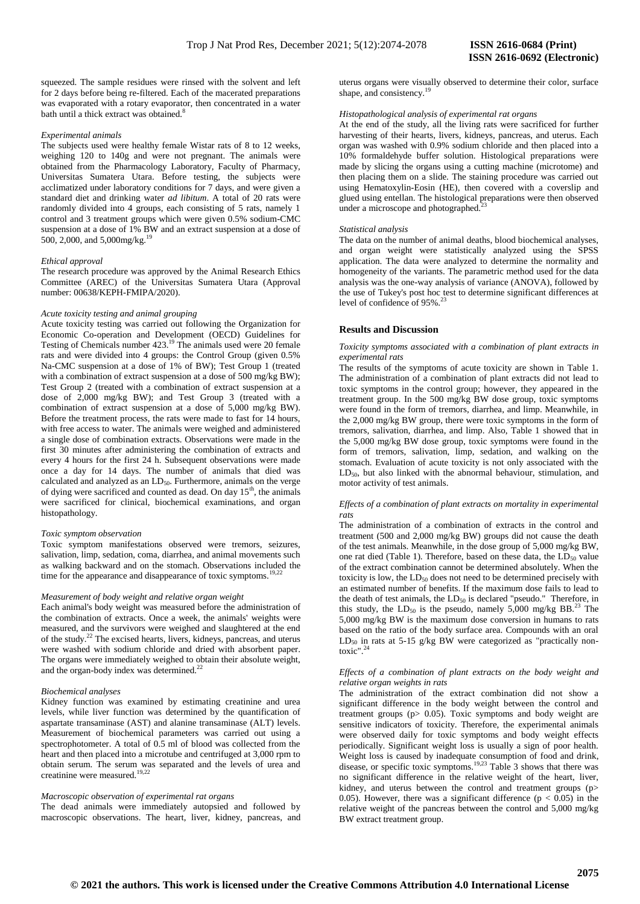squeezed. The sample residues were rinsed with the solvent and left for 2 days before being re-filtered. Each of the macerated preparations was evaporated with a rotary evaporator, then concentrated in a water bath until a thick extract was obtained.<sup>8</sup>

## *Experimental animals*

The subjects used were healthy female Wistar rats of 8 to 12 weeks, weighing 120 to 140g and were not pregnant. The animals were obtained from the Pharmacology Laboratory, Faculty of Pharmacy, Universitas Sumatera Utara. Before testing, the subjects were acclimatized under laboratory conditions for 7 days, and were given a standard diet and drinking water *ad libitum*. A total of 20 rats were randomly divided into 4 groups, each consisting of 5 rats, namely 1 control and 3 treatment groups which were given 0.5% sodium-CMC suspension at a dose of 1% BW and an extract suspension at a dose of 500, 2,000, and 5,000mg/kg.<sup>19</sup>

#### *Ethical approval*

The research procedure was approved by the Animal Research Ethics Committee (AREC) of the Universitas Sumatera Utara (Approval number: 00638/KEPH-FMIPA/2020).

#### *Acute toxicity testing and animal grouping*

Acute toxicity testing was carried out following the Organization for Economic Co-operation and Development (OECD) Guidelines for Testing of Chemicals number 423.<sup>19</sup> The animals used were 20 female rats and were divided into 4 groups: the Control Group (given 0.5% Na-CMC suspension at a dose of 1% of BW); Test Group 1 (treated with a combination of extract suspension at a dose of 500 mg/kg BW); Test Group 2 (treated with a combination of extract suspension at a dose of 2,000 mg/kg BW); and Test Group 3 (treated with a combination of extract suspension at a dose of 5,000 mg/kg BW). Before the treatment process, the rats were made to fast for 14 hours, with free access to water. The animals were weighed and administered a single dose of combination extracts. Observations were made in the first 30 minutes after administering the combination of extracts and every 4 hours for the first 24 h. Subsequent observations were made once a day for 14 days. The number of animals that died was calculated and analyzed as an  $LD_{50}$ . Furthermore, animals on the verge of dying were sacrificed and counted as dead. On day  $15<sup>th</sup>$ , the animals were sacrificed for clinical, biochemical examinations, and organ histopathology.

#### *Toxic symptom observation*

Toxic symptom manifestations observed were tremors, seizures, salivation, limp, sedation, coma, diarrhea, and animal movements such as walking backward and on the stomach. Observations included the time for the appearance and disappearance of toxic symptoms.<sup>19,22</sup>

#### *Measurement of body weight and relative organ weight*

Each animal's body weight was measured before the administration of the combination of extracts. Once a week, the animals' weights were measured, and the survivors were weighed and slaughtered at the end of the study.<sup>22</sup> The excised hearts, livers, kidneys, pancreas, and uterus were washed with sodium chloride and dried with absorbent paper. The organs were immediately weighed to obtain their absolute weight, and the organ-body index was determined. $^{22}$ 

#### *Biochemical analyses*

Kidney function was examined by estimating creatinine and urea levels, while liver function was determined by the quantification of aspartate transaminase (AST) and alanine transaminase (ALT) levels. Measurement of biochemical parameters was carried out using a spectrophotometer. A total of 0.5 ml of blood was collected from the heart and then placed into a microtube and centrifuged at 3,000 rpm to obtain serum. The serum was separated and the levels of urea and creatinine were measured.<sup>19,22</sup>

#### *Macroscopic observation of experimental rat organs*

The dead animals were immediately autopsied and followed by macroscopic observations. The heart, liver, kidney, pancreas, and uterus organs were visually observed to determine their color, surface shape, and consistency.<sup>19</sup>

#### *Histopathological analysis of experimental rat organs*

At the end of the study, all the living rats were sacrificed for further harvesting of their hearts, livers, kidneys, pancreas, and uterus. Each organ was washed with 0.9% sodium chloride and then placed into a 10% formaldehyde buffer solution. Histological preparations were made by slicing the organs using a cutting machine (microtome) and then placing them on a slide. The staining procedure was carried out using Hematoxylin-Eosin (HE), then covered with a coverslip and glued using entellan. The histological preparations were then observed under a microscope and photographed.

#### *Statistical analysis*

The data on the number of animal deaths, blood biochemical analyses, and organ weight were statistically analyzed using the SPSS application. The data were analyzed to determine the normality and homogeneity of the variants. The parametric method used for the data analysis was the one-way analysis of variance (ANOVA), followed by the use of Tukey's post hoc test to determine significant differences at level of confidence of 95%.<sup>23</sup>

## **Results and Discussion**

*Toxicity symptoms associated with a combination of plant extracts in experimental rats*

The results of the symptoms of acute toxicity are shown in Table 1. The administration of a combination of plant extracts did not lead to toxic symptoms in the control group; however, they appeared in the treatment group. In the 500 mg/kg BW dose group, toxic symptoms were found in the form of tremors, diarrhea, and limp. Meanwhile, in the 2,000 mg/kg BW group, there were toxic symptoms in the form of tremors, salivation, diarrhea, and limp. Also, Table 1 showed that in the 5,000 mg/kg BW dose group, toxic symptoms were found in the form of tremors, salivation, limp, sedation, and walking on the stomach. Evaluation of acute toxicity is not only associated with the LD<sub>50</sub>, but also linked with the abnormal behaviour, stimulation, and motor activity of test animals.

#### *Effects of a combination of plant extracts on mortality in experimental rats*

The administration of a combination of extracts in the control and treatment (500 and 2,000 mg/kg BW) groups did not cause the death of the test animals. Meanwhile, in the dose group of 5,000 mg/kg BW, one rat died (Table 1). Therefore, based on these data, the  $LD_{50}$  value of the extract combination cannot be determined absolutely. When the toxicity is low, the  $LD_{50}$  does not need to be determined precisely with an estimated number of benefits. If the maximum dose fails to lead to the death of test animals, the  $LD_{50}$  is declared "pseudo." Therefore, in this study, the  $LD_{50}$  is the pseudo, namely  $5,000$  mg/kg BB.<sup>23</sup> The 5,000 mg/kg BW is the maximum dose conversion in humans to rats based on the ratio of the body surface area. Compounds with an oral  $LD_{50}$  in rats at 5-15 g/kg BW were categorized as "practically nontoxic".

#### *Effects of a combination of plant extracts on the body weight and relative organ weights in rats*

The administration of the extract combination did not show a significant difference in the body weight between the control and treatment groups (p> 0.05). Toxic symptoms and body weight are sensitive indicators of toxicity. Therefore, the experimental animals were observed daily for toxic symptoms and body weight effects periodically. Significant weight loss is usually a sign of poor health. Weight loss is caused by inadequate consumption of food and drink, disease, or specific toxic symptoms.<sup>19,23</sup> Table 3 shows that there was no significant difference in the relative weight of the heart, liver, kidney, and uterus between the control and treatment groups (p> 0.05). However, there was a significant difference ( $p < 0.05$ ) in the relative weight of the pancreas between the control and 5,000 mg/kg BW extract treatment group.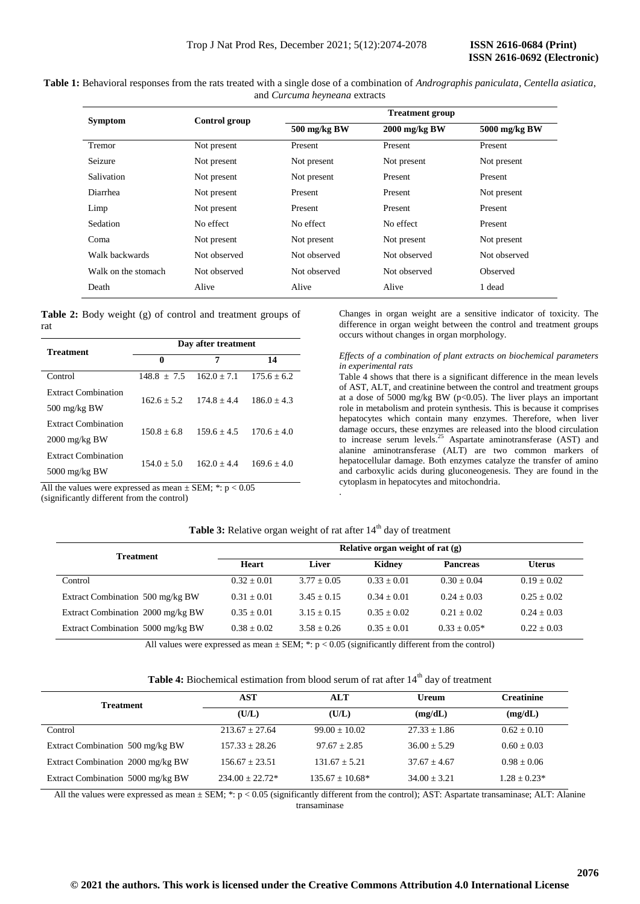| <b>Symptom</b>      | Control group |                               | <b>Treatment group</b> |                 |  |
|---------------------|---------------|-------------------------------|------------------------|-----------------|--|
|                     |               | 500 mg/kg BW<br>2000 mg/kg BW |                        | 5000 mg/kg BW   |  |
| Tremor              | Not present   | Present                       | Present                | Present         |  |
| Seizure             | Not present   | Not present                   | Not present            | Not present     |  |
| Salivation          | Not present   | Not present                   | Present                | Present         |  |
| Diarrhea            | Not present   | Present                       | Present                | Not present     |  |
| Limp                | Not present   | Present                       | Present                | Present         |  |
| Sedation            | No effect     | No effect                     | No effect              | Present         |  |
| Coma                | Not present   | Not present                   | Not present            | Not present     |  |
| Walk backwards      | Not observed  | Not observed                  | Not observed           | Not observed    |  |
| Walk on the stomach | Not observed  | Not observed                  | Not observed           | <b>Observed</b> |  |
| Death               | Alive         | Alive                         | Alive                  | 1 dead          |  |

**Table 1:** Behavioral responses from the rats treated with a single dose of a combination of *Andrographis paniculata*, *Centella asiatica*, and *Curcuma heyneana* extracts

**Table 2:** Body weight (g) of control and treatment groups of rat

| <b>Treatment</b>                                               | Day after treatment                             |               |                 |  |  |  |  |
|----------------------------------------------------------------|-------------------------------------------------|---------------|-----------------|--|--|--|--|
|                                                                | $\bf{0}$                                        | 7             | 14              |  |  |  |  |
| Control                                                        | $148.8 + 7.5$                                   | $162.0 + 7.1$ | $175.6 \pm 6.2$ |  |  |  |  |
| <b>Extract Combination</b>                                     | $162.6 + 5.2$<br>$186.0 + 4.3$<br>$174.8 + 4.4$ |               |                 |  |  |  |  |
| $500 \text{ mg/kg BW}$                                         |                                                 |               |                 |  |  |  |  |
| <b>Extract Combination</b>                                     | $150.8 + 6.8$                                   | $159.6 + 4.5$ | $170.6 + 4.0$   |  |  |  |  |
| $2000 \text{ mg/kg BW}$                                        |                                                 |               |                 |  |  |  |  |
| <b>Extract Combination</b>                                     | $154.0 + 5.0$                                   | $162.0 + 4.4$ | $169.6 + 4.0$   |  |  |  |  |
| $5000 \text{ mg/kg BW}$                                        |                                                 |               |                 |  |  |  |  |
| All the values were expressed as mean $\pm$ SEM; *: $p < 0.05$ |                                                 |               |                 |  |  |  |  |

Changes in organ weight are a sensitive indicator of toxicity. The difference in organ weight between the control and treatment groups occurs without changes in organ morphology.

## *Effects of a combination of plant extracts on biochemical parameters in experimental rats*

Table 4 shows that there is a significant difference in the mean levels of AST, ALT, and creatinine between the control and treatment groups at a dose of 5000 mg/kg BW ( $p<0.05$ ). The liver plays an important role in metabolism and protein synthesis. This is because it comprises hepatocytes which contain many enzymes. Therefore, when liver damage occurs, these enzymes are released into the blood circulation to increase serum levels.<sup>25</sup> Aspartate aminotransferase  $(AST)$  and alanine aminotransferase (ALT) are two common markers of hepatocellular damage. Both enzymes catalyze the transfer of amino and carboxylic acids during gluconeogenesis. They are found in the cytoplasm in hepatocytes and mitochondria. .

## (significantly different from the control)

| Table 3: Relative organ weight of rat after 14 <sup>th</sup> day of treatment |  |  |
|-------------------------------------------------------------------------------|--|--|
|-------------------------------------------------------------------------------|--|--|

|                                   | Relative organ weight of rat (g) |               |               |                 |               |  |
|-----------------------------------|----------------------------------|---------------|---------------|-----------------|---------------|--|
| <b>Treatment</b>                  | <b>Heart</b>                     | Liver         | Kidney        | <b>Pancreas</b> | <b>Uterus</b> |  |
| Control                           | $0.32 + 0.01$                    | $3.77 + 0.05$ | $0.33 + 0.01$ | $0.30 + 0.04$   | $0.19 + 0.02$ |  |
| Extract Combination 500 mg/kg BW  | $0.31 + 0.01$                    | $3.45 + 0.15$ | $0.34 + 0.01$ | $0.24 + 0.03$   | $0.25 + 0.02$ |  |
| Extract Combination 2000 mg/kg BW | $0.35 + 0.01$                    | $3.15 + 0.15$ | $0.35 + 0.02$ | $0.21 + 0.02$   | $0.24 + 0.03$ |  |
| Extract Combination 5000 mg/kg BW | $0.38 + 0.02$                    | $3.58 + 0.26$ | $0.35 + 0.01$ | $0.33 + 0.05*$  | $0.22 + 0.03$ |  |

All values were expressed as mean  $\pm$  SEM; \*: p < 0.05 (significantly different from the control)

|  | <b>Table 4:</b> Biochemical estimation from blood serum of rat after $14th$ day of treatment |  |  |  |  |  |
|--|----------------------------------------------------------------------------------------------|--|--|--|--|--|
|  |                                                                                              |  |  |  |  |  |

| <b>Treatment</b>                  | AST               | <b>ALT</b>        | <b>Ureum</b>   | <b>Creatinine</b> |
|-----------------------------------|-------------------|-------------------|----------------|-------------------|
|                                   | (U/L)             | (U/L)             | (mg/dL)        | (mg/dL)           |
| Control                           | $213.67 + 27.64$  | $99.00 + 10.02$   | $27.33 + 1.86$ | $0.62 \pm 0.10$   |
| Extract Combination 500 mg/kg BW  | $157.33 + 28.26$  | $97.67 + 2.85$    | $36.00 + 5.29$ | $0.60 \pm 0.03$   |
| Extract Combination 2000 mg/kg BW | $156.67 + 23.51$  | $131.67 + 5.21$   | $37.67 + 4.67$ | $0.98 \pm 0.06$   |
| Extract Combination 5000 mg/kg BW | $234.00 + 22.72*$ | $135.67 + 10.68*$ | $34.00 + 3.21$ | $1.28 \pm 0.23*$  |

All the values were expressed as mean  $\pm$  SEM; \*: p < 0.05 (significantly different from the control); AST: Aspartate transaminase; ALT: Alanine transaminase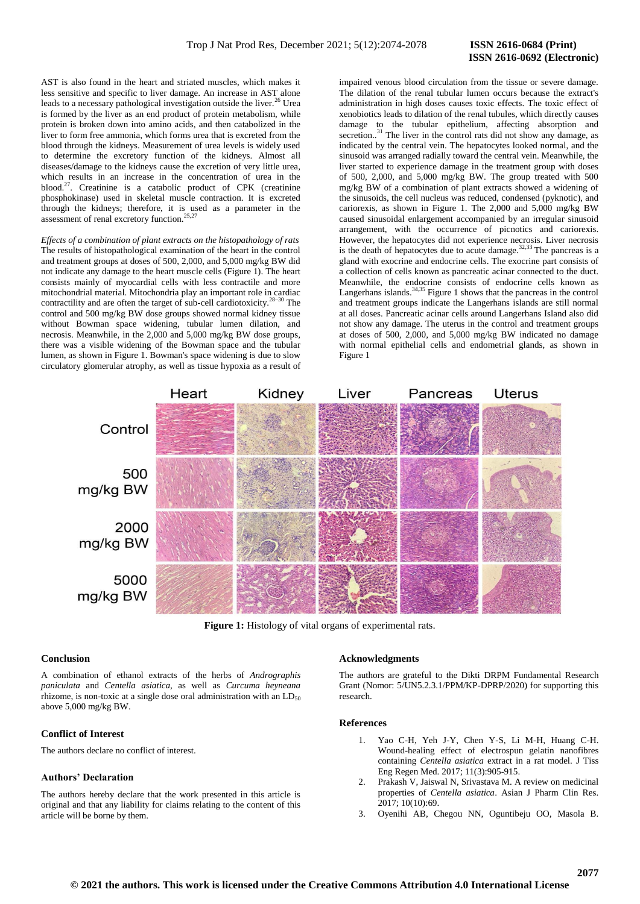AST is also found in the heart and striated muscles, which makes it less sensitive and specific to liver damage. An increase in AST alone leads to a necessary pathological investigation outside the liver.<sup>26</sup> Urea is formed by the liver as an end product of protein metabolism, while protein is broken down into amino acids, and then catabolized in the liver to form free ammonia, which forms urea that is excreted from the blood through the kidneys. Measurement of urea levels is widely used to determine the excretory function of the kidneys. Almost all diseases/damage to the kidneys cause the excretion of very little urea, which results in an increase in the concentration of urea in the blood.<sup>27</sup>. Creatinine is a catabolic product of CPK (creatinine phosphokinase) used in skeletal muscle contraction. It is excreted through the kidneys; therefore, it is used as a parameter in the assessment of renal excretory function.<sup>25,27</sup>

*Effects of a combination of plant extracts on the histopathology of rats* The results of histopathological examination of the heart in the control and treatment groups at doses of 500, 2,000, and 5,000 mg/kg BW did not indicate any damage to the heart muscle cells (Figure 1). The heart consists mainly of myocardial cells with less contractile and more mitochondrial material. Mitochondria play an important role in cardiac contractility and are often the target of sub-cell cardiotoxicity.28–30 The control and 500 mg/kg BW dose groups showed normal kidney tissue without Bowman space widening, tubular lumen dilation, and necrosis. Meanwhile, in the 2,000 and 5,000 mg/kg BW dose groups, there was a visible widening of the Bowman space and the tubular lumen, as shown in Figure 1. Bowman's space widening is due to slow circulatory glomerular atrophy, as well as tissue hypoxia as a result of impaired venous blood circulation from the tissue or severe damage. The dilation of the renal tubular lumen occurs because the extract's administration in high doses causes toxic effects. The toxic effect of xenobiotics leads to dilation of the renal tubules, which directly causes damage to the tubular epithelium, affecting absorption and secretion..<sup>31</sup> The liver in the control rats did not show any damage, as indicated by the central vein. The hepatocytes looked normal, and the sinusoid was arranged radially toward the central vein. Meanwhile, the liver started to experience damage in the treatment group with doses of 500, 2,000, and 5,000 mg/kg BW. The group treated with 500 mg/kg BW of a combination of plant extracts showed a widening of the sinusoids, the cell nucleus was reduced, condensed (pyknotic), and cariorexis, as shown in Figure 1. The 2,000 and 5,000 mg/kg BW caused sinusoidal enlargement accompanied by an irregular sinusoid arrangement, with the occurrence of picnotics and cariorexis. However, the hepatocytes did not experience necrosis. Liver necrosis is the death of hepatocytes due to acute damage. $32,33$  The pancreas is a gland with exocrine and endocrine cells. The exocrine part consists of a collection of cells known as pancreatic acinar connected to the duct. Meanwhile, the endocrine consists of endocrine cells known as Langerhans islands.<sup>34,35</sup> Figure 1 shows that the pancreas in the control and treatment groups indicate the Langerhans islands are still normal at all doses. Pancreatic acinar cells around Langerhans Island also did not show any damage. The uterus in the control and treatment groups at doses of 500, 2,000, and 5,000 mg/kg BW indicated no damage with normal epithelial cells and endometrial glands, as shown in Figure 1



**Figure 1:** Histology of vital organs of experimental rats.

## **Conclusion**

A combination of ethanol extracts of the herbs of *Andrographis paniculata* and *Centella asiatica*, as well as *Curcuma heyneana* rhizome, is non-toxic at a single dose oral administration with an LD<sub>50</sub> above 5,000 mg/kg BW.

## **Conflict of Interest**

The authors declare no conflict of interest.

#### **Authors' Declaration**

The authors hereby declare that the work presented in this article is original and that any liability for claims relating to the content of this article will be borne by them.

## **Acknowledgments**

The authors are grateful to the Dikti DRPM Fundamental Research Grant (Nomor: 5/UN5.2.3.1/PPM/KP-DPRP/2020) for supporting this research.

## **References**

- 1. Yao C-H, Yeh J-Y, Chen Y-S, Li M-H, Huang C-H. Wound-healing effect of electrospun gelatin nanofibres containing *Centella asiatica* extract in a rat model. J Tiss Eng Regen Med. 2017; 11(3):905-915.
- 2. Prakash V, Jaiswal N, Srivastava M. A review on medicinal properties of *Centella asiatica*. Asian J Pharm Clin Res.  $2017:10(10):69.$
- 3. Oyenihi AB, Chegou NN, Oguntibeju OO, Masola B.